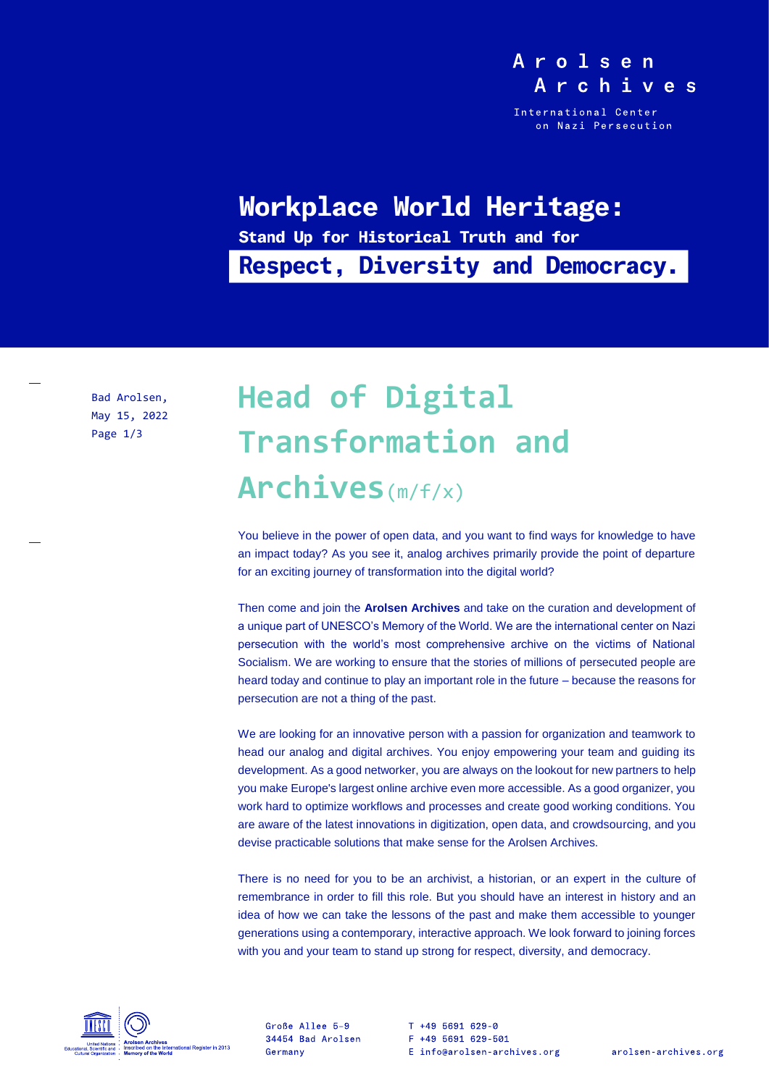### Arolsen Archives

International Center on Nazi Persecution

## Workplace World Heritage:

Stand Up for Historical Truth and for **Respect, Diversity and Democracy.** 

Bad Arolsen, May 15, 2022 Page 1/3

# **Head of Digital Transformation and Archives**(m/f/x)

You believe in the power of open data, and you want to find ways for knowledge to have an impact today? As you see it, analog archives primarily provide the point of departure for an exciting journey of transformation into the digital world?

Then come and join the **Arolsen Archives** and take on the curation and development of a unique part of UNESCO's Memory of the World. We are the international center on Nazi persecution with the world's most comprehensive archive on the victims of National Socialism. We are working to ensure that the stories of millions of persecuted people are heard today and continue to play an important role in the future – because the reasons for persecution are not a thing of the past.

We are looking for an innovative person with a passion for organization and teamwork to head our analog and digital archives. You enjoy empowering your team and guiding its development. As a good networker, you are always on the lookout for new partners to help you make Europe's largest online archive even more accessible. As a good organizer, you work hard to optimize workflows and processes and create good working conditions. You are aware of the latest innovations in digitization, open data, and crowdsourcing, and you devise practicable solutions that make sense for the Arolsen Archives.

There is no need for you to be an archivist, a historian, or an expert in the culture of remembrance in order to fill this role. But you should have an interest in history and an idea of how we can take the lessons of the past and make them accessible to younger generations using a contemporary, interactive approach. We look forward to joining forces with you and your team to stand up strong for respect, diversity, and democracy.



Große Allee 5-9 34454 Bad Arolsen Germany

T +49 5691 629-0 F +49 5691 629-501 E info@arolsen-archives.org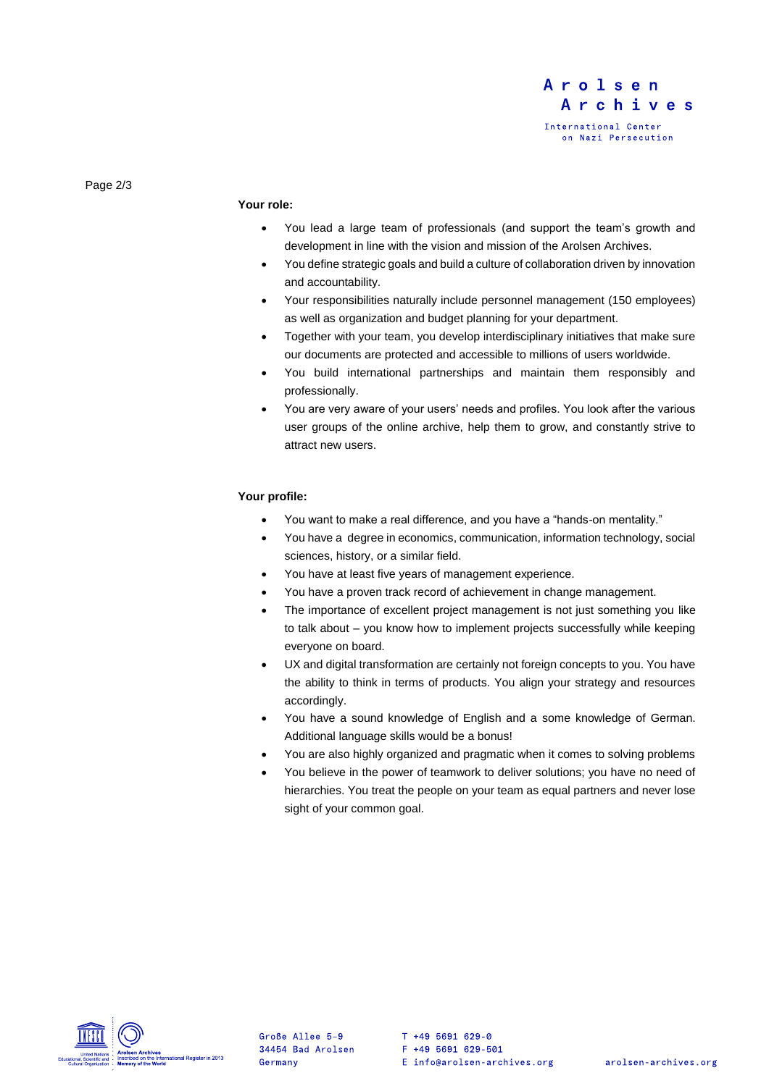

Page 2/3

#### **Your role:**

- You lead a large team of professionals (and support the team's growth and development in line with the vision and mission of the Arolsen Archives.
- You define strategic goals and build a culture of collaboration driven by innovation and accountability.
- Your responsibilities naturally include personnel management (150 employees) as well as organization and budget planning for your department.
- Together with your team, you develop interdisciplinary initiatives that make sure our documents are protected and accessible to millions of users worldwide.
- You build international partnerships and maintain them responsibly and professionally.
- You are very aware of your users' needs and profiles. You look after the various user groups of the online archive, help them to grow, and constantly strive to attract new users.

#### **Your profile:**

- You want to make a real difference, and you have a "hands-on mentality."
- You have a degree in economics, communication, information technology, social sciences, history, or a similar field.
- You have at least five years of management experience.
- You have a proven track record of achievement in change management.
- The importance of excellent project management is not just something you like to talk about – you know how to implement projects successfully while keeping everyone on board.
- UX and digital transformation are certainly not foreign concepts to you. You have the ability to think in terms of products. You align your strategy and resources accordingly.
- You have a sound knowledge of English and a some knowledge of German. Additional language skills would be a bonus!
- You are also highly organized and pragmatic when it comes to solving problems
- You believe in the power of teamwork to deliver solutions; you have no need of hierarchies. You treat the people on your team as equal partners and never lose sight of your common goal.



Große Allee 5-9 34454 Bad Arolsen Germany

T +49 5691 629-0 F +49 5691 629-501 E info@arolsen-archives.org